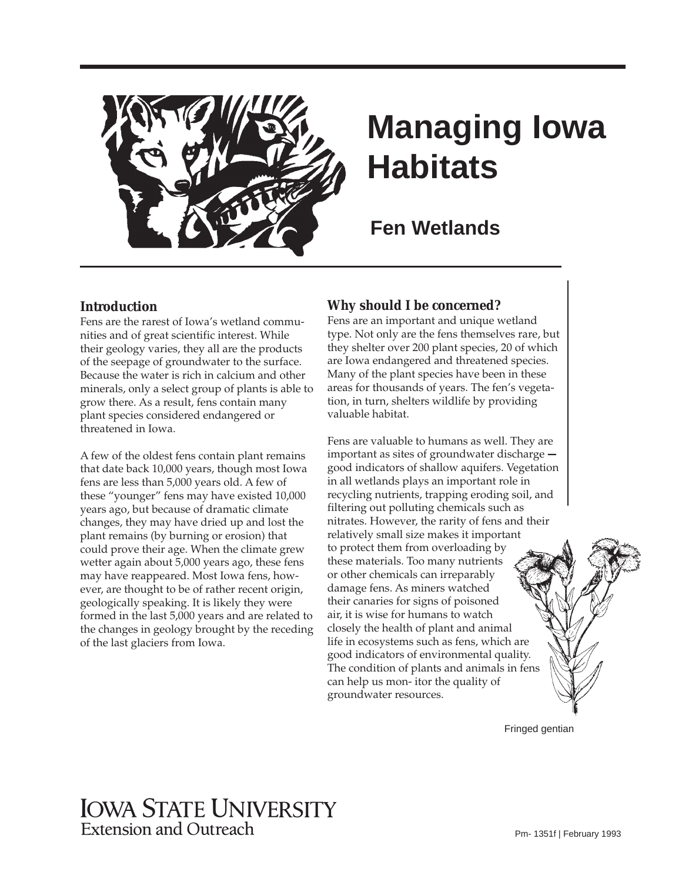

# **Managing Iowa Habitats**

**Fen Wetlands** 

#### **Introduction**

Fens are the rarest of Iowa's wetland communities and of great scientific interest. While their geology varies, they all are the products of the seepage of groundwater to the surface. Because the water is rich in calcium and other minerals, only a select group of plants is able to grow there. As a result, fens contain many plant species considered endangered or threatened in Iowa.

A few of the oldest fens contain plant remains that date back 10,000 years, though most Iowa fens are less than 5,000 years old. A few of these "younger" fens may have existed 10,000 years ago, but because of dramatic climate changes, they may have dried up and lost the plant remains (by burning or erosion) that could prove their age. When the climate grew wetter again about 5,000 years ago, these fens may have reappeared. Most Iowa fens, however, are thought to be of rather recent origin, geologically speaking. It is likely they were formed in the last 5,000 years and are related to the changes in geology brought by the receding of the last glaciers from Iowa.

# **Why should I be concerned?**

Fens are an important and unique wetland type. Not only are the fens themselves rare, but they shelter over 200 plant species, 20 of which are Iowa endangered and threatened species. Many of the plant species have been in these areas for thousands of years. The fen's vegetation, in turn, shelters wildlife by providing valuable habitat.

Fens are valuable to humans as well. They are important as sites of groundwater discharge  good indicators of shallow aquifers. Vegetation in all wetlands plays an important role in recycling nutrients, trapping eroding soil, and filtering out polluting chemicals such as nitrates. However, the rarity of fens and their relatively small size makes it important to protect them from overloading by these materials. Too many nutrients or other chemicals can irreparably damage fens. As miners watched their canaries for signs of poisoned air, it is wise for humans to watch closely the health of plant and animal life in ecosystems such as fens, which are good indicators of environmental quality. The condition of plants and animals in fens can help us mon- itor the quality of groundwater resources.

Fringed gentian

# IOWA STATE UNIVERSITY Extension and Outreach Pm- 1351f | February 1993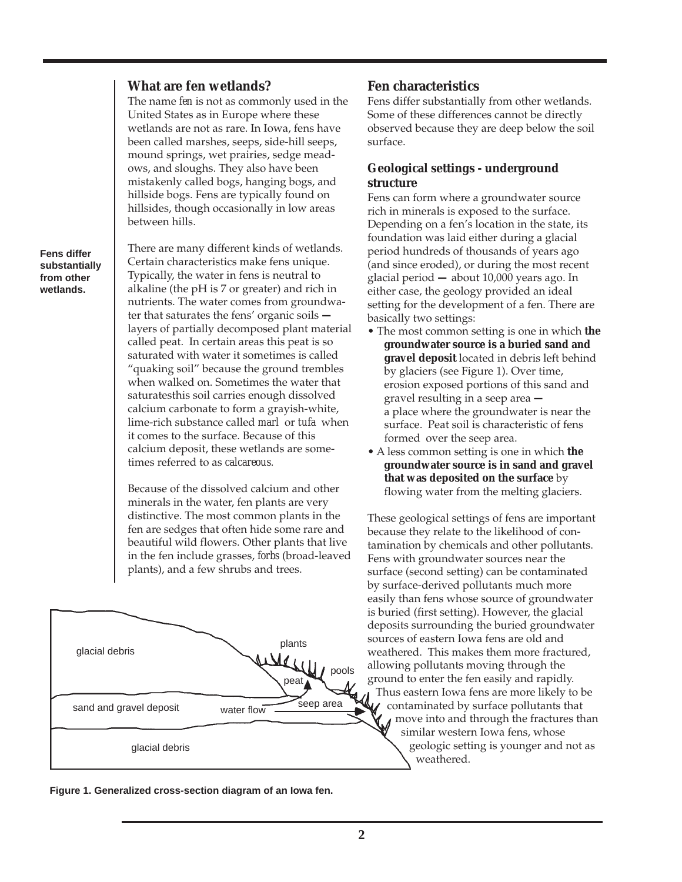#### **What are fen wetlands?**

The name *fen* is not as commonly used in the United States as in Europe where these wetlands are not as rare. In Iowa, fens have been called marshes, seeps, side-hill seeps, mound springs, wet prairies, sedge meadows, and sloughs. They also have been mistakenly called bogs, hanging bogs, and hillside bogs. Fens are typically found on hillsides, though occasionally in low areas between hills.

**Fens differ substantially from other wetlands.** 

There are many different kinds of wetlands. Certain characteristics make fens unique. Typically, the water in fens is neutral to alkaline (the pH is 7 or greater) and rich in nutrients. The water comes from groundwater that saturates the fens' organic soils  layers of partially decomposed plant material called peat. In certain areas this peat is so saturated with water it sometimes is called "quaking soil" because the ground trembles when walked on. Sometimes the water that saturatesthis soil carries enough dissolved calcium carbonate to form a grayish-white, lime-rich substance called *marl* or *tufa* when it comes to the surface. Because of this calcium deposit, these wetlands are sometimes referred to as *calcareous*.

Because of the dissolved calcium and other minerals in the water, fen plants are very distinctive. The most common plants in the fen are sedges that often hide some rare and beautiful wild flowers. Other plants that live in the fen include grasses, *forbs* (broad-leaved plants), and a few shrubs and trees.



**Fen characteristics** 

Fens differ substantially from other wetlands. Some of these differences cannot be directly observed because they are deep below the soil surface.

# **Geological settings - underground structure**

Fens can form where a groundwater source rich in minerals is exposed to the surface. Depending on a fen's location in the state, its foundation was laid either during a glacial period hundreds of thousands of years ago (and since eroded), or during the most recent glacial period **—** about 10,000 years ago. In either case, the geology provided an ideal setting for the development of a fen. There are basically two settings:

- The most common setting is one in which **the groundwater source is a buried sand and gravel deposit** located in debris left behind by glaciers (see Figure 1). Over time, erosion exposed portions of this sand and gravel resulting in a seep area  a place where the groundwater is near the surface. Peat soil is characteristic of fens formed over the seep area.
- A less common setting is one in which **the groundwater source is in sand and gravel that was deposited on the surface** by flowing water from the melting glaciers.

These geological settings of fens are important because they relate to the likelihood of contamination by chemicals and other pollutants. Fens with groundwater sources near the surface (second setting) can be contaminated by surface-derived pollutants much more easily than fens whose source of groundwater is buried (first setting). However, the glacial deposits surrounding the buried groundwater sources of eastern Iowa fens are old and weathered. This makes them more fractured, allowing pollutants moving through the ground to enter the fen easily and rapidly. Thus eastern Iowa fens are more likely to be contaminated by surface pollutants that move into and through the fractures than similar western Iowa fens, whose geologic setting is younger and not as weathered.

**Figure 1. Generalized cross-section diagram of an Iowa fen.**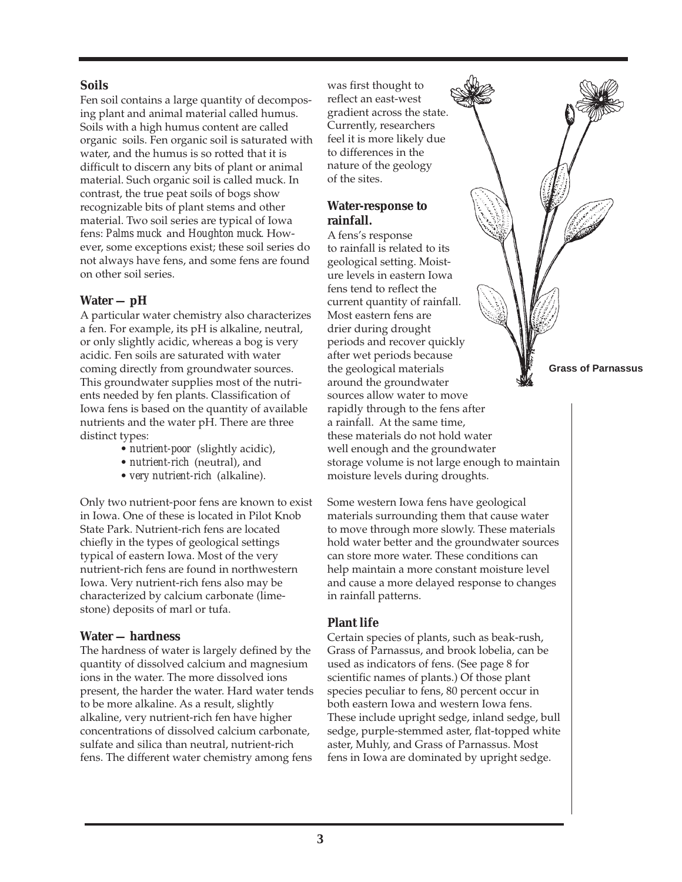#### **Soils**

Fen soil contains a large quantity of decomposing plant and animal material called humus. Soils with a high humus content are called organic soils. Fen organic soil is saturated with water, and the humus is so rotted that it is difficult to discern any bits of plant or animal material. Such organic soil is called muck. In contrast, the true peat soils of bogs show recognizable bits of plant stems and other material. Two soil series are typical of Iowa fens: *Palms muck* and *Houghton muck*. However, some exceptions exist; these soil series do not always have fens, and some fens are found on other soil series.

#### **Water — pH**

A particular water chemistry also characterizes a fen. For example, its pH is alkaline, neutral, or only slightly acidic, whereas a bog is very acidic. Fen soils are saturated with water coming directly from groundwater sources. This groundwater supplies most of the nutrients needed by fen plants. Classification of Iowa fens is based on the quantity of available nutrients and the water pH. There are three distinct types:

- *nutrient-poor* (slightly acidic),
- *nutrient-rich* (neutral), and
- *very nutrient-rich* (alkaline).

Only two nutrient-poor fens are known to exist in Iowa. One of these is located in Pilot Knob State Park. Nutrient-rich fens are located chiefly in the types of geological settings typical of eastern Iowa. Most of the very nutrient-rich fens are found in northwestern Iowa. Very nutrient-rich fens also may be characterized by calcium carbonate (limestone) deposits of marl or tufa.

#### **Water — hardness**

The hardness of water is largely defined by the quantity of dissolved calcium and magnesium ions in the water. The more dissolved ions present, the harder the water. Hard water tends to be more alkaline. As a result, slightly alkaline, very nutrient-rich fen have higher concentrations of dissolved calcium carbonate, sulfate and silica than neutral, nutrient-rich fens. The different water chemistry among fens

was first thought to reflect an east-west gradient across the state. Currently, researchers feel it is more likely due to differences in the nature of the geology of the sites.

#### **Water-response to rainfall.**

A fens's response to rainfall is related to its geological setting. Moisture levels in eastern Iowa fens tend to reflect the current quantity of rainfall. Most eastern fens are drier during drought periods and recover quickly after wet periods because the geological materials **Grass of Parnassus** around the groundwater sources allow water to move rapidly through to the fens after a rainfall. At the same time, these materials do not hold water well enough and the groundwater storage volume is not large enough to maintain moisture levels during droughts.

Some western Iowa fens have geological materials surrounding them that cause water to move through more slowly. These materials hold water better and the groundwater sources can store more water. These conditions can help maintain a more constant moisture level and cause a more delayed response to changes in rainfall patterns.

# **Plant life**

Certain species of plants, such as beak-rush, Grass of Parnassus, and brook lobelia, can be used as indicators of fens. (See page 8 for scientific names of plants.) Of those plant species peculiar to fens, 80 percent occur in both eastern Iowa and western Iowa fens. These include upright sedge, inland sedge, bull sedge, purple-stemmed aster, flat-topped white aster, Muhly, and Grass of Parnassus. Most fens in Iowa are dominated by upright sedge.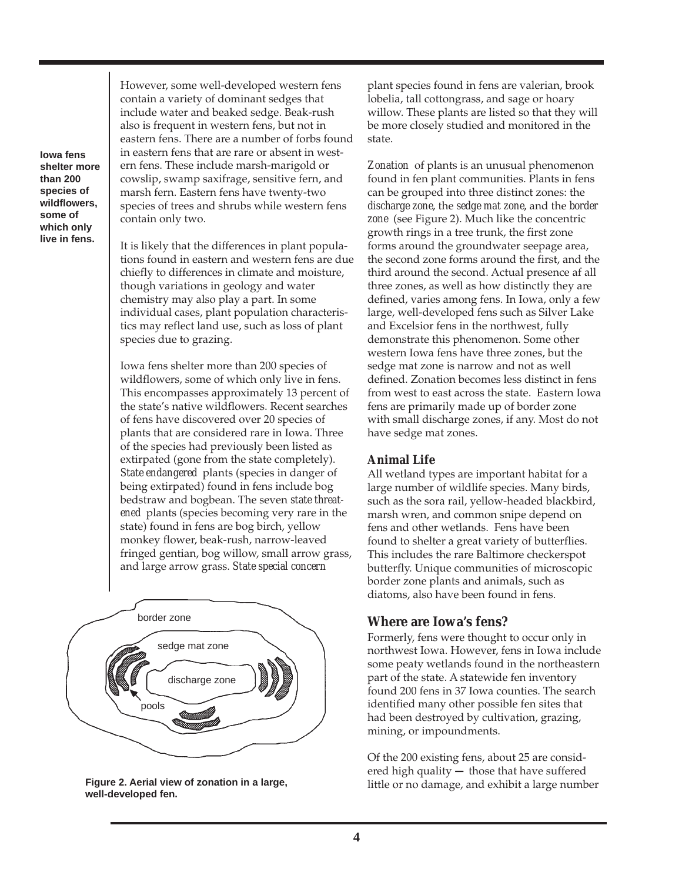**Iowa fens shelter more than 200 species of wildflowers, some of which only live in fens.** 

However, some well-developed western fens contain a variety of dominant sedges that include water and beaked sedge. Beak-rush also is frequent in western fens, but not in eastern fens. There are a number of forbs found in eastern fens that are rare or absent in western fens. These include marsh-marigold or cowslip, swamp saxifrage, sensitive fern, and marsh fern. Eastern fens have twenty-two species of trees and shrubs while western fens contain only two.

It is likely that the differences in plant populations found in eastern and western fens are due chiefly to differences in climate and moisture, though variations in geology and water chemistry may also play a part. In some individual cases, plant population characteristics may reflect land use, such as loss of plant species due to grazing.

Iowa fens shelter more than 200 species of wildflowers, some of which only live in fens. This encompasses approximately 13 percent of the state's native wildflowers. Recent searches of fens have discovered over 20 species of plants that are considered rare in Iowa. Three of the species had previously been listed as extirpated (gone from the state completely). *State endangered* plants (species in danger of being extirpated) found in fens include bog bedstraw and bogbean. The seven *state threatened* plants (species becoming very rare in the state) found in fens are bog birch, yellow monkey flower, beak-rush, narrow-leaved fringed gentian, bog willow, small arrow grass, and large arrow grass. *State special concern* 



**Figure 2. Aerial view of zonation in a large, Figure 2. Aerial view of zonation in a large,** little or no damage, and exhibit a large number well-developed fen.

plant species found in fens are valerian, brook lobelia, tall cottongrass, and sage or hoary willow. These plants are listed so that they will be more closely studied and monitored in the state.

*Zonation* of plants is an unusual phenomenon found in fen plant communities. Plants in fens can be grouped into three distinct zones: the *discharge zone*, the *sedge mat zone*, and the *border zone* (see Figure 2). Much like the concentric growth rings in a tree trunk, the first zone forms around the groundwater seepage area, the second zone forms around the first, and the third around the second. Actual presence af all three zones, as well as how distinctly they are defined, varies among fens. In Iowa, only a few large, well-developed fens such as Silver Lake and Excelsior fens in the northwest, fully demonstrate this phenomenon. Some other western Iowa fens have three zones, but the sedge mat zone is narrow and not as well defined. Zonation becomes less distinct in fens from west to east across the state. Eastern Iowa fens are primarily made up of border zone with small discharge zones, if any. Most do not have sedge mat zones.

#### **Animal Life**

All wetland types are important habitat for a large number of wildlife species. Many birds, such as the sora rail, yellow-headed blackbird, marsh wren, and common snipe depend on fens and other wetlands. Fens have been found to shelter a great variety of butterflies. This includes the rare Baltimore checkerspot butterfly. Unique communities of microscopic border zone plants and animals, such as diatoms, also have been found in fens.

# **Where are Iowa's fens?**

Formerly, fens were thought to occur only in northwest Iowa. However, fens in Iowa include some peaty wetlands found in the northeastern part of the state. A statewide fen inventory found 200 fens in 37 Iowa counties. The search identified many other possible fen sites that had been destroyed by cultivation, grazing, mining, or impoundments.

Of the 200 existing fens, about 25 are considered high quality **—** those that have suffered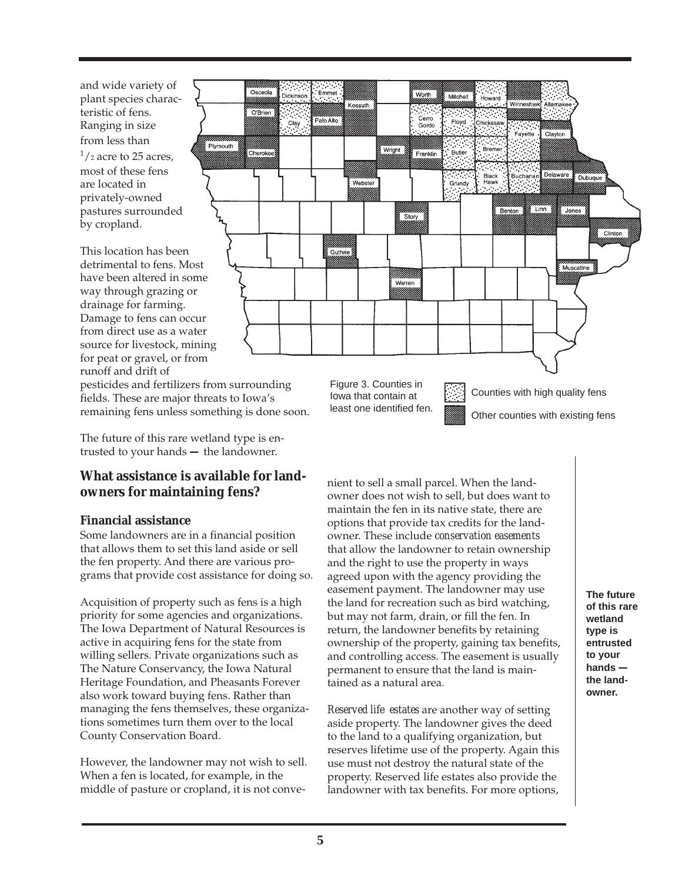and wide variety of plant species characteristic of fens. Ranging in size from less than  $\frac{1}{2}$  acres, most of these fens are located in privately-owned pastures surrounded by cropland.

This location has been detrimental to fens. Most have been altered in some way through grazing or drainage for farming. Damage to fens can occur from direct use as a water source for livestock, mining for peat or gravel, or from runoff and drift of



pesticides and fertilizers from surrounding fields. These are major threats to Iowa's remaining fens unless something is done soon.

The future of this rare wetland type is entrusted to your hands **—** the landowner.

# **What assistance is available for landowners for maintaining fens?**

#### **Financial assistance**

Some landowners are in a financial position that allows them to set this land aside or sell the fen property. And there are various programs that provide cost assistance for doing so.

Acquisition of property such as fens is a high priority for some agencies and organizations. The Iowa Department of Natural Resources is active in acquiring fens for the state from willing sellers. Private organizations such as The Nature Conservancy, the Iowa Natural Heritage Foundation, and Pheasants Forever also work toward buying fens. Rather than managing the fens themselves, these organizations sometimes turn them over to the local County Conservation Board.

However, the landowner may not wish to sell. When a fen is located, for example, in the middle of pasture or cropland, it is not conve-

Figure 3. Counties in Iowa that contain at least one identified fen.

Counties with high quality fens Other counties with existing fens

nient to sell a small parcel. When the landowner does not wish to sell, but does want to maintain the fen in its native state, there are options that provide tax credits for the landowner. These include *conservation easements*  that allow the landowner to retain ownership and the right to use the property in ways agreed upon with the agency providing the easement payment. The landowner may use the land for recreation such as bird watching, but may not farm, drain, or fill the fen. In return, the landowner benefits by retaining ownership of the property, gaining tax benefits, and controlling access. The easement is usually permanent to ensure that the land is maintained as a natural area.

*Reserved life estates* are another way of setting aside property. The landowner gives the deed to the land to a qualifying organization, but reserves lifetime use of the property. Again this use must not destroy the natural state of the property. Reserved life estates also provide the landowner with tax benefits. For more options,

**The future of this rare wetland type is entrusted to your hands the landowner.**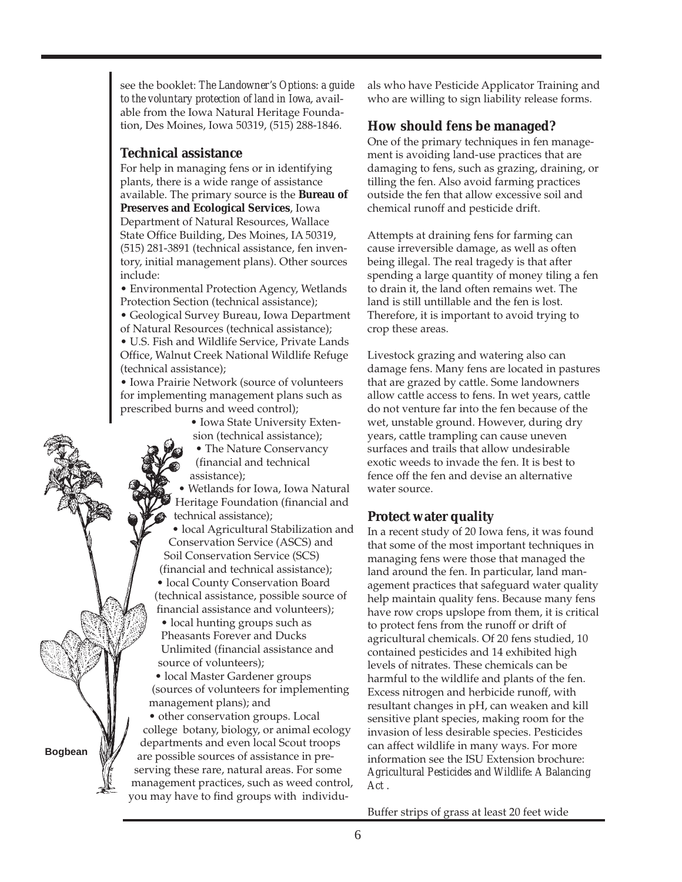see the booklet: *The Landowner's Options: a guide to the voluntary protection of land in Iowa*, available from the Iowa Natural Heritage Founda tion, Des Moines, Iowa 50319, (515) 288-1846.

## **Technical assistance**

For help in managing fens or in identifying plants, there is a wide range of assistance available. The primary source is the **Bureau of Preserves and Ecological Services**, Iowa Department of Natural Resources, Wallace State Office Building, Des Moines, IA 50319, (515) 281-3891 (technical assistance, fen inventory, initial management plans). Other sources include:

• Environmental Protection Agency, Wetlands Protection Section (technical assistance);

• Geological Survey Bureau, Iowa Department of Natural Resources (technical assistance);

• U.S. Fish and Wildlife Service, Private Lands Office, Walnut Creek National Wildlife Refuge (technical assistance);

• Iowa Prairie Network (source of volunteers for implementing management plans such as prescribed burns and weed control);

• Iowa State University Extension (technical assistance);

• The Nature Conservancy (financial and technical assistance);

• Wetlands for Iowa, Iowa Natural Heritage Foundation (financial and technical assistance);

• local Agricultural Stabilization and Conservation Service (ASCS) and Soil Conservation Service (SCS) (financial and technical assistance);

• local County Conservation Board (technical assistance, possible source of

• local hunting groups such as Pheasants Forever and Ducks Unlimited (financial assistance and source of volunteers); financial assistance and volunteers);

• local Master Gardener groups (sources of volunteers for implementing management plans); and

serving these rare, natural areas. For some management practices, such as weed control, you may have to find groups with individu- - are possible sources of assistance in pre • other conservation groups. Local college botany, biology, or animal ecology departments and even local Scout troops

als who have Pesticide Applicator Training and who are willing to sign liability release forms.

# **How should fens be managed?**

One of the primary techniques in fen manage ment is avoiding land-use practices that are damaging to fens, such as grazing, draining, or tilling the fen. Also avoid farming practices outside the fen that allow excessive soil and chemical runoff and pesticide drift.

Attempts at draining fens for farming can cause irreversible damage, as well as often being illegal. The real tragedy is that after spending a large quantity of money tiling a fen to drain it, the land often remains wet. The land is still untillable and the fen is lost. Therefore, it is important to avoid trying to crop these areas.

Livestock grazing and watering also can damage fens. Many fens are located in pastures that are grazed by cattle. Some landowners allow cattle access to fens. In wet years, cattle do not venture far into the fen because of the wet, unstable ground. However, during dry years, cattle trampling can cause uneven surfaces and trails that allow undesirable exotic weeds to invade the fen. It is best to fence off the fen and devise an alternative water source.

# **Protect water quality**

In a recent study of 20 Iowa fens, it was found that some of the most important techniques in managing fens were those that managed the land around the fen. In particular, land management practices that safeguard water quality help maintain quality fens. Because many fens have row crops upslope from them, it is critical to protect fens from the runoff or drift of agricultural chemicals. Of 20 fens studied, 10 contained pesticides and 14 exhibited high levels of nitrates. These chemicals can be harmful to the wildlife and plants of the fen. Excess nitrogen and herbicide runoff, with resultant changes in pH, can weaken and kill sensitive plant species, making room for the invasion of less desirable species. Pesticides can affect wildlife in many ways. For more information see the ISU Extension brochure: *Agricultural Pesticides and Wildlife: A Balancing Act .* 

Buffer strips of grass at least 20 feet wide

**Bogbean**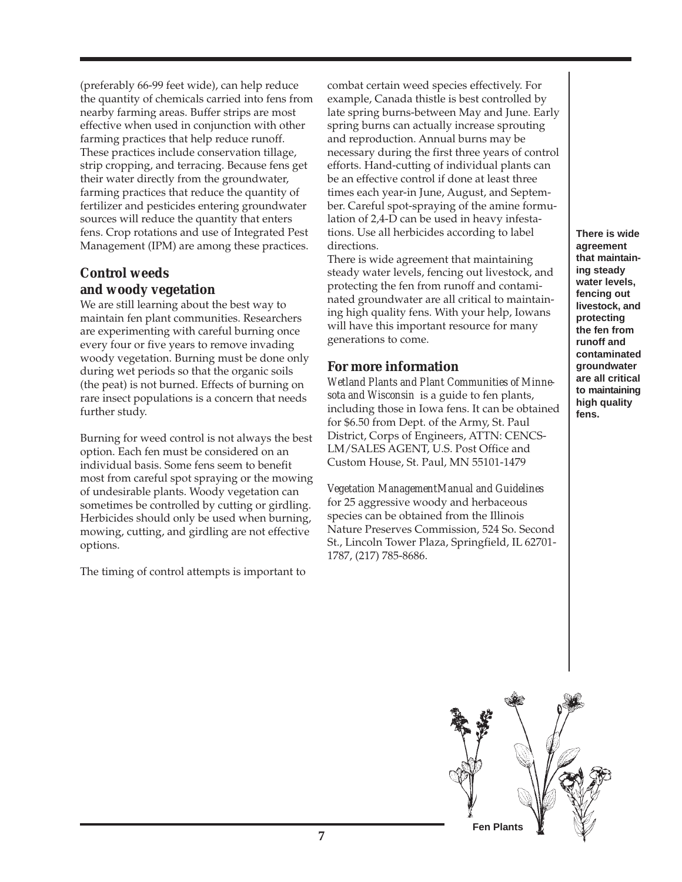(preferably 66-99 feet wide), can help reduce the quantity of chemicals carried into fens from nearby farming areas. Buffer strips are most effective when used in conjunction with other farming practices that help reduce runoff. These practices include conservation tillage, strip cropping, and terracing. Because fens get their water directly from the groundwater, farming practices that reduce the quantity of fertilizer and pesticides entering groundwater sources will reduce the quantity that enters fens. Crop rotations and use of Integrated Pest Management (IPM) are among these practices.

# **Control weeds and woody vegetation**

We are still learning about the best way to maintain fen plant communities. Researchers are experimenting with careful burning once every four or five years to remove invading woody vegetation. Burning must be done only during wet periods so that the organic soils (the peat) is not burned. Effects of burning on rare insect populations is a concern that needs further study.

Burning for weed control is not always the best option. Each fen must be considered on an individual basis. Some fens seem to benefit most from careful spot spraying or the mowing of undesirable plants. Woody vegetation can sometimes be controlled by cutting or girdling. Herbicides should only be used when burning, mowing, cutting, and girdling are not effective options.

The timing of control attempts is important to

combat certain weed species effectively. For example, Canada thistle is best controlled by late spring burns-between May and June. Early spring burns can actually increase sprouting and reproduction. Annual burns may be necessary during the first three years of control efforts. Hand-cutting of individual plants can be an effective control if done at least three times each year-in June, August, and September. Careful spot-spraying of the amine formulation of 2,4-D can be used in heavy infestations. Use all herbicides according to label directions.

There is wide agreement that maintaining steady water levels, fencing out livestock, and protecting the fen from runoff and contaminated groundwater are all critical to maintaining high quality fens. With your help, Iowans will have this important resource for many generations to come.

# **For more information**

*Wetland Plants and Plant Communities of Minnesota and Wisconsin* is a guide to fen plants, including those in Iowa fens. It can be obtained for \$6.50 from Dept. of the Army, St. Paul District, Corps of Engineers, ATTN: CENCS-LM/SALES AGENT, U.S. Post Office and Custom House, St. Paul, MN 55101-1479

*Vegetation ManagementManual and Guidelines*  for 25 aggressive woody and herbaceous species can be obtained from the Illinois Nature Preserves Commission, 524 So. Second St., Lincoln Tower Plaza, Springfield, IL 62701- 1787, (217) 785-8686.

**There is wide agreement that maintaining steady water levels, fencing out livestock, and protecting the fen from runoff and contaminated groundwater are all critical to maintaining high quality fens.**